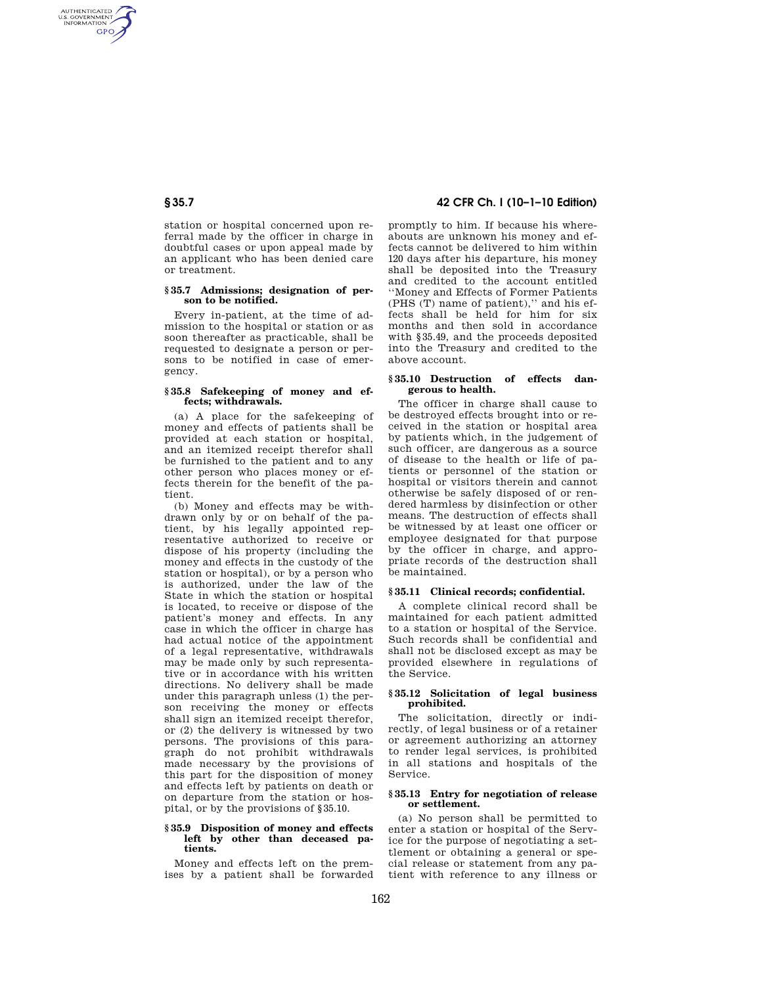AUTHENTICATED<br>U.S. GOVERNMENT<br>INFORMATION **GPO** 

> station or hospital concerned upon referral made by the officer in charge in doubtful cases or upon appeal made by an applicant who has been denied care or treatment.

## **§ 35.7 Admissions; designation of person to be notified.**

Every in-patient, at the time of admission to the hospital or station or as soon thereafter as practicable, shall be requested to designate a person or persons to be notified in case of emergency.

## **§ 35.8 Safekeeping of money and effects; withdrawals.**

(a) A place for the safekeeping of money and effects of patients shall be provided at each station or hospital, and an itemized receipt therefor shall be furnished to the patient and to any other person who places money or effects therein for the benefit of the patient.

(b) Money and effects may be withdrawn only by or on behalf of the patient, by his legally appointed representative authorized to receive or dispose of his property (including the money and effects in the custody of the station or hospital), or by a person who is authorized, under the law of the State in which the station or hospital is located, to receive or dispose of the patient's money and effects. In any case in which the officer in charge has had actual notice of the appointment of a legal representative, withdrawals may be made only by such representative or in accordance with his written directions. No delivery shall be made under this paragraph unless (1) the person receiving the money or effects shall sign an itemized receipt therefor, or (2) the delivery is witnessed by two persons. The provisions of this paragraph do not prohibit withdrawals made necessary by the provisions of this part for the disposition of money and effects left by patients on death or on departure from the station or hospital, or by the provisions of §35.10.

### **§ 35.9 Disposition of money and effects left by other than deceased patients.**

Money and effects left on the premises by a patient shall be forwarded

**§ 35.7 42 CFR Ch. I (10–1–10 Edition)** 

promptly to him. If because his whereabouts are unknown his money and effects cannot be delivered to him within 120 days after his departure, his money shall be deposited into the Treasury and credited to the account entitled ''Money and Effects of Former Patients (PHS (T) name of patient),'' and his effects shall be held for him for six months and then sold in accordance with §35.49, and the proceeds deposited into the Treasury and credited to the above account.

## **§ 35.10 Destruction of effects dangerous to health.**

The officer in charge shall cause to be destroyed effects brought into or received in the station or hospital area by patients which, in the judgement of such officer, are dangerous as a source of disease to the health or life of patients or personnel of the station or hospital or visitors therein and cannot otherwise be safely disposed of or rendered harmless by disinfection or other means. The destruction of effects shall be witnessed by at least one officer or employee designated for that purpose by the officer in charge, and appropriate records of the destruction shall be maintained.

# **§ 35.11 Clinical records; confidential.**

A complete clinical record shall be maintained for each patient admitted to a station or hospital of the Service. Such records shall be confidential and shall not be disclosed except as may be provided elsewhere in regulations of the Service.

# **§ 35.12 Solicitation of legal business prohibited.**

The solicitation, directly or indirectly, of legal business or of a retainer or agreement authorizing an attorney to render legal services, is prohibited in all stations and hospitals of the Service.

## **§ 35.13 Entry for negotiation of release or settlement.**

(a) No person shall be permitted to enter a station or hospital of the Service for the purpose of negotiating a settlement or obtaining a general or special release or statement from any patient with reference to any illness or